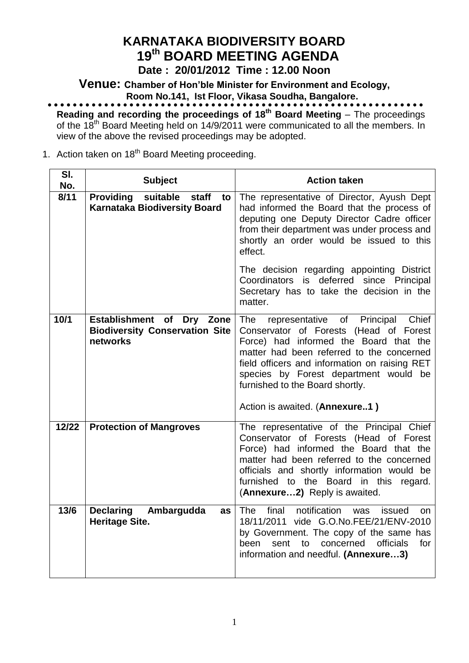# **KARNATAKA BIODIVERSITY BOARD 19 th BOARD MEETING AGENDA**

**Date : 20/01/2012 Time : 12.00 Noon**

**Venue: Chamber of Hon'ble Minister for Environment and Ecology, Room No.141, Ist Floor, Vikasa Soudha, Bangalore.**

**Reading and recording the proceedings of 18 th Board Meeting** – The proceedings of the 18<sup>th</sup> Board Meeting held on 14/9/2011 were communicated to all the members. In view of the above the revised proceedings may be adopted.

## 1. Action taken on 18<sup>th</sup> Board Meeting proceeding.

| SI.<br>No. | <b>Subject</b>                                                                     | <b>Action taken</b>                                                                                                                                                                                                                                                                                                                                |
|------------|------------------------------------------------------------------------------------|----------------------------------------------------------------------------------------------------------------------------------------------------------------------------------------------------------------------------------------------------------------------------------------------------------------------------------------------------|
| 8/11       | <b>Providing</b><br>suitable<br>staff<br>to<br><b>Karnataka Biodiversity Board</b> | The representative of Director, Ayush Dept<br>had informed the Board that the process of<br>deputing one Deputy Director Cadre officer<br>from their department was under process and<br>shortly an order would be issued to this<br>effect.                                                                                                       |
|            |                                                                                    | The decision regarding appointing District<br>Coordinators is deferred<br>since Principal<br>Secretary has to take the decision in the<br>matter.                                                                                                                                                                                                  |
| 10/1       | Establishment of<br>Dry Zone<br><b>Biodiversity Conservation Site</b><br>networks  | <b>The</b><br>representative of Principal<br>Chief<br>Conservator of Forests (Head of Forest<br>Force) had informed the Board that the<br>matter had been referred to the concerned<br>field officers and information on raising RET<br>species by Forest department would be<br>furnished to the Board shortly.<br>Action is awaited. (Annexure1) |
|            |                                                                                    |                                                                                                                                                                                                                                                                                                                                                    |
| 12/22      | <b>Protection of Mangroves</b>                                                     | The representative of the Principal Chief<br>Conservator of Forests (Head of Forest<br>Force) had informed the Board that the<br>matter had been referred to the concerned<br>officials and shortly information would be<br>furnished to the Board in this regard.<br>(Annexure2) Reply is awaited.                                                |
| 13/6       | <b>Declaring</b><br>Ambargudda<br>as<br><b>Heritage Site.</b>                      | notification<br><b>The</b><br>final<br>issued<br>was<br>on.<br>18/11/2011 vide G.O.No.FEE/21/ENV-2010<br>by Government. The copy of the same has<br>concerned<br>officials<br>for<br>been<br>sent<br>to<br>information and needful. (Annexure3)                                                                                                    |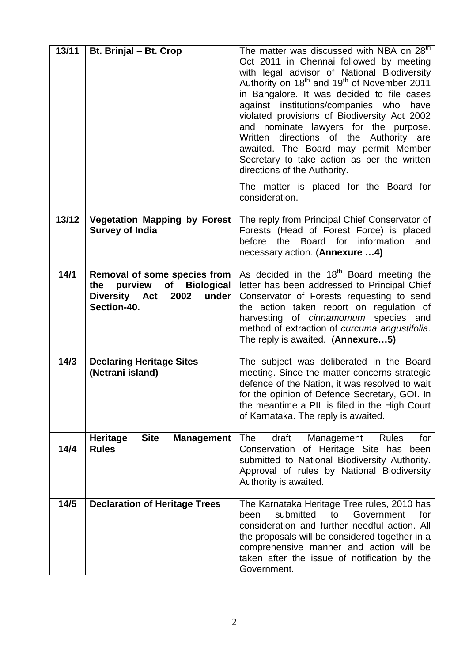| 13/11 | Bt. Brinjal - Bt. Crop                                                                                                            | The matter was discussed with NBA on $28th$<br>Oct 2011 in Chennai followed by meeting<br>with legal advisor of National Biodiversity<br>Authority on 18 <sup>th</sup> and 19 <sup>th</sup> of November 2011<br>in Bangalore. It was decided to file cases<br>against institutions/companies who<br>have<br>violated provisions of Biodiversity Act 2002<br>and nominate lawyers for the purpose.<br>Written<br>directions of the Authority are<br>awaited. The Board may permit Member<br>Secretary to take action as per the written<br>directions of the Authority.<br>The matter is placed for the Board for<br>consideration. |
|-------|-----------------------------------------------------------------------------------------------------------------------------------|------------------------------------------------------------------------------------------------------------------------------------------------------------------------------------------------------------------------------------------------------------------------------------------------------------------------------------------------------------------------------------------------------------------------------------------------------------------------------------------------------------------------------------------------------------------------------------------------------------------------------------|
| 13/12 | <b>Vegetation Mapping by Forest</b><br><b>Survey of India</b>                                                                     | The reply from Principal Chief Conservator of<br>Forests (Head of Forest Force) is placed<br>the Board for information<br>before<br>and<br>necessary action. (Annexure 4)                                                                                                                                                                                                                                                                                                                                                                                                                                                          |
| 14/1  | Removal of some species from<br>purview<br>of<br><b>Biological</b><br>the<br><b>Diversity Act</b><br>2002<br>under<br>Section-40. | As decided in the 18 <sup>th</sup> Board meeting the<br>letter has been addressed to Principal Chief<br>Conservator of Forests requesting to send<br>the action taken report on regulation of<br>harvesting of <i>cinnamomum</i> species and<br>method of extraction of curcuma angustifolia.<br>The reply is awaited. (Annexure5)                                                                                                                                                                                                                                                                                                 |
| 14/3  | <b>Declaring Heritage Sites</b><br>(Netrani island)                                                                               | The subject was deliberated in the Board<br>meeting. Since the matter concerns strategic<br>defence of the Nation, it was resolved to wait<br>for the opinion of Defence Secretary, GOI. In<br>the meantime a PIL is filed in the High Court<br>of Karnataka. The reply is awaited.                                                                                                                                                                                                                                                                                                                                                |
| 14/4  | <b>Site</b><br><b>Heritage</b><br><b>Management</b><br><b>Rules</b>                                                               | draft<br>The<br>Management<br><b>Rules</b><br>for<br>Conservation of Heritage Site has been<br>submitted to National Biodiversity Authority.<br>Approval of rules by National Biodiversity<br>Authority is awaited.                                                                                                                                                                                                                                                                                                                                                                                                                |
| 14/5  | <b>Declaration of Heritage Trees</b>                                                                                              | The Karnataka Heritage Tree rules, 2010 has<br>submitted<br>to<br>Government<br>been<br>for<br>consideration and further needful action. All<br>the proposals will be considered together in a<br>comprehensive manner and action will be<br>taken after the issue of notification by the<br>Government.                                                                                                                                                                                                                                                                                                                           |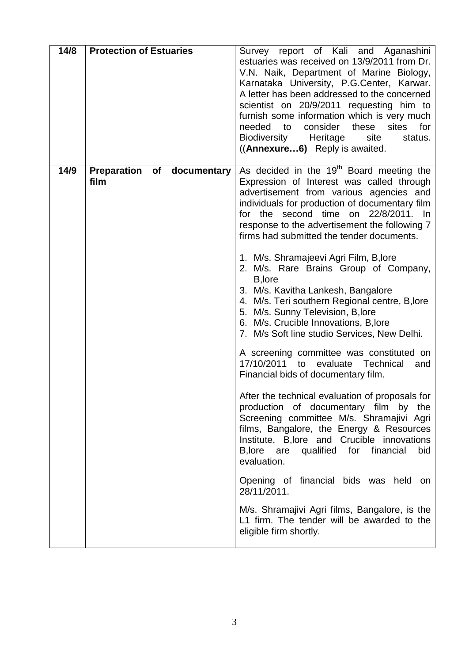| 14/8 | <b>Protection of Estuaries</b>                  | Survey report of Kali and Aganashini<br>estuaries was received on 13/9/2011 from Dr.<br>V.N. Naik, Department of Marine Biology,<br>Karnataka University, P.G.Center, Karwar.<br>A letter has been addressed to the concerned<br>scientist on 20/9/2011 requesting him to<br>furnish some information which is very much<br>consider these<br>needed<br>$\overline{\mathsf{to}}$<br>sites for<br>Biodiversity<br>Heritage<br>site<br>status.<br>((Annexure6) Reply is awaited.                                                                                                                                                                                                                                                                                                                                                                                                                                                                                                         |
|------|-------------------------------------------------|----------------------------------------------------------------------------------------------------------------------------------------------------------------------------------------------------------------------------------------------------------------------------------------------------------------------------------------------------------------------------------------------------------------------------------------------------------------------------------------------------------------------------------------------------------------------------------------------------------------------------------------------------------------------------------------------------------------------------------------------------------------------------------------------------------------------------------------------------------------------------------------------------------------------------------------------------------------------------------------|
| 14/9 | <b>Preparation</b><br>of<br>documentary<br>film | As decided in the 19 <sup>th</sup> Board meeting the<br>Expression of Interest was called through<br>advertisement from various agencies and<br>individuals for production of documentary film<br>22/8/2011. In<br>the second time<br>for<br>on<br>response to the advertisement the following 7<br>firms had submitted the tender documents.<br>1. M/s. Shramajeevi Agri Film, B, lore<br>2. M/s. Rare Brains Group of Company,<br>B, lore<br>3. M/s. Kavitha Lankesh, Bangalore<br>4. M/s. Teri southern Regional centre, B, lore<br>5. M/s. Sunny Television, B, lore<br>6. M/s. Crucible Innovations, B, lore<br>7. M/s Soft line studio Services, New Delhi.<br>A screening committee was constituted on<br>17/10/2011 to<br>evaluate Technical<br>and<br>Financial bids of documentary film.<br>After the technical evaluation of proposals for<br>production of documentary film by the<br>Screening committee M/s. Shramajivi Agri<br>films, Bangalore, the Energy & Resources |
|      |                                                 | Institute, B, lore and Crucible innovations<br>B, lore are<br>for financial<br>qualified<br>bid<br>evaluation.<br>Opening of financial bids was held on<br>28/11/2011.                                                                                                                                                                                                                                                                                                                                                                                                                                                                                                                                                                                                                                                                                                                                                                                                                 |
|      |                                                 | M/s. Shramajivi Agri films, Bangalore, is the<br>L1 firm. The tender will be awarded to the<br>eligible firm shortly.                                                                                                                                                                                                                                                                                                                                                                                                                                                                                                                                                                                                                                                                                                                                                                                                                                                                  |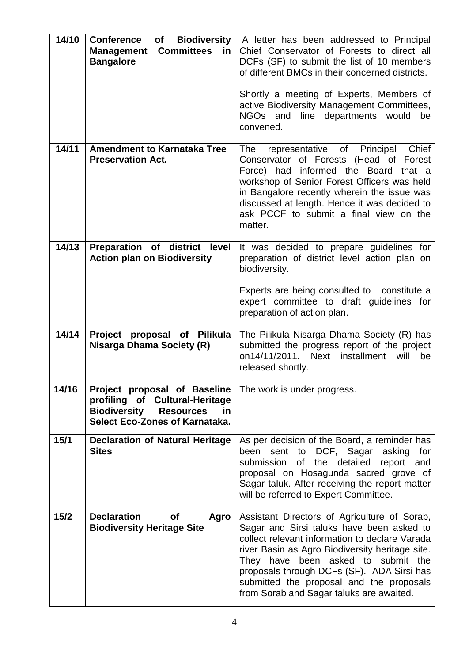| 14/10 | <b>Biodiversity</b><br><b>Conference</b><br>of<br><b>Committees</b><br><b>Management</b><br>in<br><b>Bangalore</b>                                       | A letter has been addressed to Principal<br>Chief Conservator of Forests to direct all<br>DCFs (SF) to submit the list of 10 members<br>of different BMCs in their concerned districts.<br>Shortly a meeting of Experts, Members of<br>active Biodiversity Management Committees,<br>line departments would<br>NGOs and<br>be<br>convened.                                 |
|-------|----------------------------------------------------------------------------------------------------------------------------------------------------------|----------------------------------------------------------------------------------------------------------------------------------------------------------------------------------------------------------------------------------------------------------------------------------------------------------------------------------------------------------------------------|
| 14/11 | <b>Amendment to Karnataka Tree</b><br><b>Preservation Act.</b>                                                                                           | Chief<br>The<br>representative of Principal<br>Conservator of Forests (Head of Forest<br>Force) had informed the Board<br>that a<br>workshop of Senior Forest Officers was held<br>in Bangalore recently wherein the issue was<br>discussed at length. Hence it was decided to<br>ask PCCF to submit a final view on the<br>matter.                                        |
| 14/13 | Preparation of district level<br><b>Action plan on Biodiversity</b>                                                                                      | It was decided to prepare guidelines for<br>preparation of district level action plan on<br>biodiversity.<br>Experts are being consulted to constitute a<br>expert committee to draft guidelines for<br>preparation of action plan.                                                                                                                                        |
| 14/14 | <b>Project</b><br>proposal of Pilikula<br><b>Nisarga Dhama Society (R)</b>                                                                               | The Pilikula Nisarga Dhama Society (R) has<br>submitted the progress report of the project<br>on14/11/2011. Next installment<br>be<br>will<br>released shortly.                                                                                                                                                                                                            |
| 14/16 | Project proposal of Baseline<br>profiling of Cultural-Heritage<br><b>Biodiversity</b><br><b>Resources</b><br>in<br><b>Select Eco-Zones of Karnataka.</b> | The work is under progress.                                                                                                                                                                                                                                                                                                                                                |
| 15/1  | <b>Declaration of Natural Heritage</b><br><b>Sites</b>                                                                                                   | As per decision of the Board, a reminder has<br>sent to DCF, Sagar asking<br>been<br>for<br>submission<br>of the detailed<br>report and<br>proposal on Hosagunda sacred grove of<br>Sagar taluk. After receiving the report matter<br>will be referred to Expert Committee.                                                                                                |
| 15/2  | <b>Declaration</b><br>οf<br>Agro<br><b>Biodiversity Heritage Site</b>                                                                                    | Assistant Directors of Agriculture of Sorab,<br>Sagar and Sirsi taluks have been asked to<br>collect relevant information to declare Varada<br>river Basin as Agro Biodiversity heritage site.<br>They have been asked to submit the<br>proposals through DCFs (SF). ADA Sirsi has<br>submitted the proposal and the proposals<br>from Sorab and Sagar taluks are awaited. |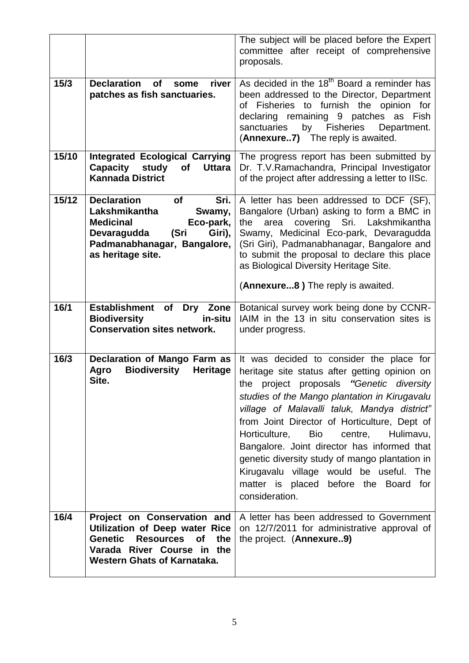|                   |                                                                                                                                                                                                    | The subject will be placed before the Expert<br>committee after receipt of comprehensive<br>proposals.                                                                                                                                                                                                                                                                                                                                                                                                                                               |  |
|-------------------|----------------------------------------------------------------------------------------------------------------------------------------------------------------------------------------------------|------------------------------------------------------------------------------------------------------------------------------------------------------------------------------------------------------------------------------------------------------------------------------------------------------------------------------------------------------------------------------------------------------------------------------------------------------------------------------------------------------------------------------------------------------|--|
| 15/3              | <b>Declaration</b><br>river<br><b>of</b><br>some<br>patches as fish sanctuaries.                                                                                                                   | As decided in the 18 <sup>th</sup> Board a reminder has<br>been addressed to the Director, Department<br>of Fisheries to furnish the opinion for<br>declaring remaining 9 patches as Fish<br>by Fisheries<br>sanctuaries<br>Department.<br>(Annexure7) The reply is awaited.                                                                                                                                                                                                                                                                         |  |
| 15/10             | <b>Integrated Ecological Carrying</b><br>Capacity study<br><b>of</b><br><b>Uttara</b><br><b>Kannada District</b>                                                                                   | The progress report has been submitted by<br>Dr. T.V.Ramachandra, Principal Investigator<br>of the project after addressing a letter to IISc.                                                                                                                                                                                                                                                                                                                                                                                                        |  |
| 15/12             | <b>Declaration</b><br>Sri.<br><b>of</b><br>Lakshmikantha<br>Swamy,<br><b>Medicinal</b><br>Eco-park,<br>(Sri<br>Devaragudda<br>Giri),<br>Padmanabhanagar, Bangalore,<br>as heritage site.           | A letter has been addressed to DCF (SF),<br>Bangalore (Urban) asking to form a BMC in<br>covering Sri. Lakshmikantha<br>the<br>area<br>Swamy, Medicinal Eco-park, Devaragudda<br>(Sri Giri), Padmanabhanagar, Bangalore and<br>to submit the proposal to declare this place<br>as Biological Diversity Heritage Site.<br>(Annexure8) The reply is awaited.                                                                                                                                                                                           |  |
|                   |                                                                                                                                                                                                    |                                                                                                                                                                                                                                                                                                                                                                                                                                                                                                                                                      |  |
| $\overline{16/1}$ | <b>Establishment</b><br>of<br><b>Dry</b><br>Zone<br><b>Biodiversity</b><br>in-situ<br><b>Conservation sites network.</b>                                                                           | Botanical survey work being done by CCNR-<br>IAIM in the 13 in situ conservation sites is<br>under progress.                                                                                                                                                                                                                                                                                                                                                                                                                                         |  |
| 16/3              | Declaration of Mango Farm as<br>Agro<br><b>Biodiversity</b><br>Heritage<br>Site.                                                                                                                   | It was decided to consider the place for<br>heritage site status after getting opinion on<br>the project proposals "Genetic diversity<br>studies of the Mango plantation in Kirugavalu<br>village of Malavalli taluk, Mandya district"<br>from Joint Director of Horticulture, Dept of<br>Horticulture,<br><b>Bio</b><br>Hulimavu,<br>centre,<br>Bangalore. Joint director has informed that<br>genetic diversity study of mango plantation in<br>Kirugavalu village would be useful. The<br>matter is placed before the Board for<br>consideration. |  |
| 16/4              | Project on Conservation and<br><b>Utilization of Deep water Rice</b><br><b>Genetic</b><br><b>Resources</b><br>the<br><b>of</b><br>Varada River Course in the<br><b>Western Ghats of Karnataka.</b> | A letter has been addressed to Government<br>on 12/7/2011 for administrative approval of<br>the project. (Annexure9)                                                                                                                                                                                                                                                                                                                                                                                                                                 |  |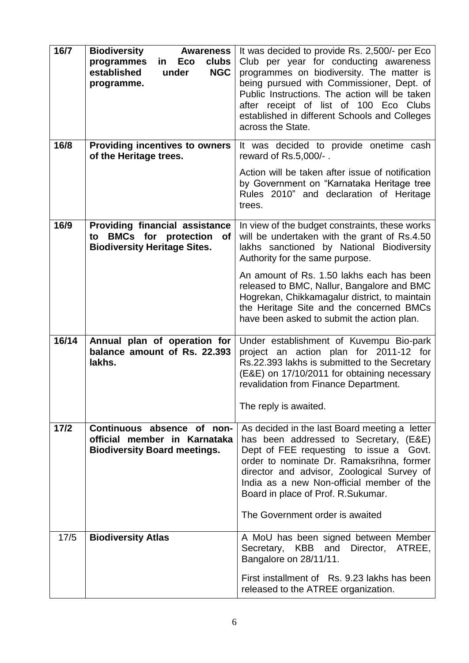| 16/7   | <b>Biodiversity</b><br><b>Awareness</b>                                                                             | It was decided to provide Rs. 2,500/- per Eco                                                                                                                                                                                                                                                                                                          |  |
|--------|---------------------------------------------------------------------------------------------------------------------|--------------------------------------------------------------------------------------------------------------------------------------------------------------------------------------------------------------------------------------------------------------------------------------------------------------------------------------------------------|--|
|        | programmes<br>clubs<br>Eco<br>in.<br>established<br><b>NGC</b><br>under<br>programme.                               | Club per year for conducting awareness<br>programmes on biodiversity. The matter is<br>being pursued with Commissioner, Dept. of<br>Public Instructions. The action will be taken<br>after receipt of list of 100 Eco Clubs<br>established in different Schools and Colleges<br>across the State.                                                      |  |
| 16/8   | <b>Providing incentives to owners</b><br>of the Heritage trees.                                                     | It was decided to provide onetime cash<br>reward of Rs.5,000/-.                                                                                                                                                                                                                                                                                        |  |
|        |                                                                                                                     | Action will be taken after issue of notification<br>by Government on "Karnataka Heritage tree<br>Rules 2010" and declaration of Heritage<br>trees.                                                                                                                                                                                                     |  |
| 16/9   | <b>Providing financial assistance</b><br>to BMCs for protection<br><b>of</b><br><b>Biodiversity Heritage Sites.</b> | In view of the budget constraints, these works<br>will be undertaken with the grant of Rs.4.50<br>lakhs sanctioned by National Biodiversity<br>Authority for the same purpose.                                                                                                                                                                         |  |
|        |                                                                                                                     | An amount of Rs. 1.50 lakhs each has been<br>released to BMC, Nallur, Bangalore and BMC<br>Hogrekan, Chikkamagalur district, to maintain<br>the Heritage Site and the concerned BMCs<br>have been asked to submit the action plan.                                                                                                                     |  |
| 16/14  | Annual plan of operation for<br>balance amount of Rs. 22.393<br>lakhs.                                              | Under establishment of Kuvempu Bio-park<br>project an action plan for 2011-12 for<br>Rs.22.393 lakhs is submitted to the Secretary<br>(E&E) on 17/10/2011 for obtaining necessary<br>revalidation from Finance Department.<br>The reply is awaited.                                                                                                    |  |
| $17/2$ | Continuous absence of non-<br>official member in Karnataka<br><b>Biodiversity Board meetings.</b>                   | As decided in the last Board meeting a letter<br>has been addressed to Secretary, (E&E)<br>Dept of FEE requesting to issue a<br>Govt.<br>order to nominate Dr. Ramaksrihna, former<br>director and advisor, Zoological Survey of<br>India as a new Non-official member of the<br>Board in place of Prof. R.Sukumar.<br>The Government order is awaited |  |
| 17/5   | <b>Biodiversity Atlas</b>                                                                                           | A MoU has been signed between Member<br>Secretary, KBB and<br>Director, ATREE,<br>Bangalore on 28/11/11.<br>First installment of Rs. 9.23 lakhs has been<br>released to the ATREE organization.                                                                                                                                                        |  |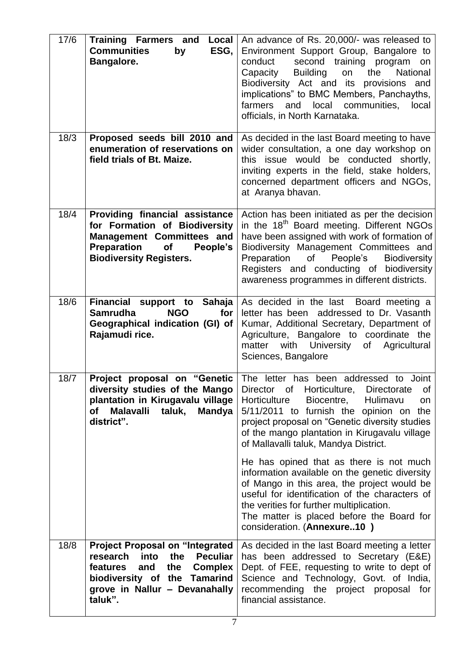| 17/6 | <b>Training Farmers and</b><br>Local<br><b>Communities</b><br>ESG,<br>by<br>Bangalore.                                                                                                                       | An advance of Rs. 20,000/- was released to<br>Environment Support Group, Bangalore to<br>second training program<br>conduct<br>on<br><b>Building</b><br>Capacity<br>the<br><b>National</b><br>on<br>Biodiversity Act and its provisions and<br>implications" to BMC Members, Panchayths,<br>local<br>communities,<br>farmers<br>and<br>local<br>officials, in North Karnataka.                                                                                                                                                                                                                                                                        |
|------|--------------------------------------------------------------------------------------------------------------------------------------------------------------------------------------------------------------|-------------------------------------------------------------------------------------------------------------------------------------------------------------------------------------------------------------------------------------------------------------------------------------------------------------------------------------------------------------------------------------------------------------------------------------------------------------------------------------------------------------------------------------------------------------------------------------------------------------------------------------------------------|
| 18/3 | Proposed seeds bill 2010 and<br>enumeration of reservations on<br>field trials of Bt. Maize.                                                                                                                 | As decided in the last Board meeting to have<br>wider consultation, a one day workshop on<br>this issue would be conducted shortly,<br>inviting experts in the field, stake holders,<br>concerned department officers and NGOs,<br>at Aranya bhavan.                                                                                                                                                                                                                                                                                                                                                                                                  |
| 18/4 | Providing financial assistance<br>for Formation of Biodiversity<br><b>Management Committees and</b><br><b>Preparation</b><br>of<br>People's<br><b>Biodiversity Registers.</b>                                | Action has been initiated as per the decision<br>in the 18 <sup>th</sup> Board meeting. Different NGOs<br>have been assigned with work of formation of<br>Biodiversity Management Committees and<br>of People's<br><b>Biodiversity</b><br>Preparation<br>Registers and conducting of biodiversity<br>awareness programmes in different districts.                                                                                                                                                                                                                                                                                                     |
| 18/6 | Financial support to<br>Sahaja<br><b>Samrudha</b><br><b>NGO</b><br>for<br>Geographical indication (GI) of<br>Rajamudi rice.                                                                                  | As decided in the last Board meeting a<br>letter has been addressed to Dr. Vasanth<br>Kumar, Additional Secretary, Department of<br>Agriculture, Bangalore to coordinate the<br>with<br>University<br>matter<br>of Agricultural<br>Sciences, Bangalore                                                                                                                                                                                                                                                                                                                                                                                                |
| 18/7 | Project proposal on "Genetic<br>diversity studies of the Mango<br>plantation in Kirugavalu village<br><b>Malavalli</b><br>taluk,<br><b>Mandya</b><br><b>of</b><br>district".                                 | The letter has been addressed to Joint<br>Director of Horticulture,<br>Directorate<br>of<br>Horticulture<br>Biocentre,<br>Hulimavu<br>on<br>5/11/2011 to furnish the opinion on the<br>project proposal on "Genetic diversity studies<br>of the mango plantation in Kirugavalu village<br>of Mallavalli taluk, Mandya District.<br>He has opined that as there is not much<br>information available on the genetic diversity<br>of Mango in this area, the project would be<br>useful for identification of the characters of<br>the verities for further multiplication.<br>The matter is placed before the Board for<br>consideration. (Annexure10) |
| 18/8 | <b>Project Proposal on "Integrated</b><br>research<br>into<br>the<br><b>Peculiar</b><br>features<br>and<br>the<br><b>Complex</b><br>biodiversity of the Tamarind<br>grove in Nallur - Devanahally<br>taluk". | As decided in the last Board meeting a letter<br>has been addressed to Secretary (E&E)<br>Dept. of FEE, requesting to write to dept of<br>Science and Technology, Govt. of India,<br>recommending the project proposal for<br>financial assistance.                                                                                                                                                                                                                                                                                                                                                                                                   |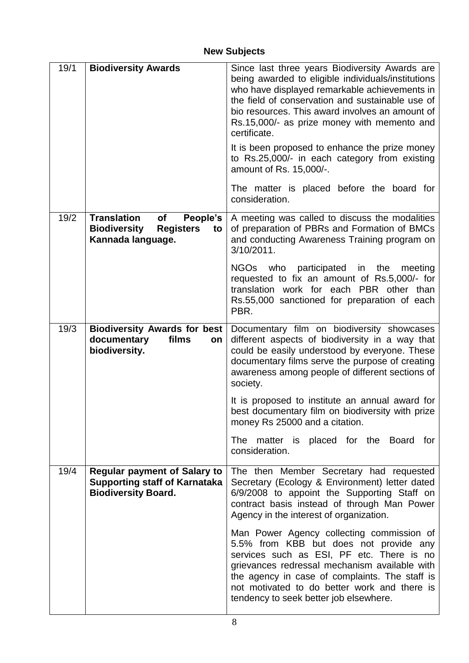# **New Subjects**

| 19/1 | <b>Biodiversity Awards</b>                                                                                 | Since last three years Biodiversity Awards are<br>being awarded to eligible individuals/institutions<br>who have displayed remarkable achievements in<br>the field of conservation and sustainable use of<br>bio resources. This award involves an amount of<br>Rs.15,000/- as prize money with memento and<br>certificate.<br>It is been proposed to enhance the prize money<br>to Rs.25,000/- in each category from existing<br>amount of Rs. 15,000/-.<br>The matter is placed before the board for |
|------|------------------------------------------------------------------------------------------------------------|--------------------------------------------------------------------------------------------------------------------------------------------------------------------------------------------------------------------------------------------------------------------------------------------------------------------------------------------------------------------------------------------------------------------------------------------------------------------------------------------------------|
|      |                                                                                                            | consideration.                                                                                                                                                                                                                                                                                                                                                                                                                                                                                         |
| 19/2 | <b>Translation</b><br>of<br>People's<br><b>Biodiversity</b><br><b>Registers</b><br>to<br>Kannada language. | A meeting was called to discuss the modalities<br>of preparation of PBRs and Formation of BMCs<br>and conducting Awareness Training program on<br>3/10/2011.                                                                                                                                                                                                                                                                                                                                           |
|      |                                                                                                            | NGOs who participated in the<br>meeting<br>requested to fix an amount of Rs.5,000/- for<br>translation work for each PBR other than<br>Rs.55,000 sanctioned for preparation of each<br>PBR.                                                                                                                                                                                                                                                                                                            |
| 19/3 | <b>Biodiversity Awards for best</b><br>documentary<br>films<br>on<br>biodiversity.                         | Documentary film on biodiversity showcases<br>different aspects of biodiversity in a way that<br>could be easily understood by everyone. These<br>documentary films serve the purpose of creating<br>awareness among people of different sections of<br>society.                                                                                                                                                                                                                                       |
|      |                                                                                                            | It is proposed to institute an annual award for<br>best documentary film on biodiversity with prize<br>money Rs 25000 and a citation.                                                                                                                                                                                                                                                                                                                                                                  |
|      |                                                                                                            | The matter is placed for the Board<br>for<br>consideration.                                                                                                                                                                                                                                                                                                                                                                                                                                            |
| 19/4 | <b>Regular payment of Salary to</b><br><b>Supporting staff of Karnataka</b><br><b>Biodiversity Board.</b>  | The then Member Secretary had requested<br>Secretary (Ecology & Environment) letter dated<br>6/9/2008 to appoint the Supporting Staff on<br>contract basis instead of through Man Power<br>Agency in the interest of organization.                                                                                                                                                                                                                                                                     |
|      |                                                                                                            | Man Power Agency collecting commission of<br>5.5% from KBB but does not provide any<br>services such as ESI, PF etc. There is no<br>grievances redressal mechanism available with<br>the agency in case of complaints. The staff is<br>not motivated to do better work and there is<br>tendency to seek better job elsewhere.                                                                                                                                                                          |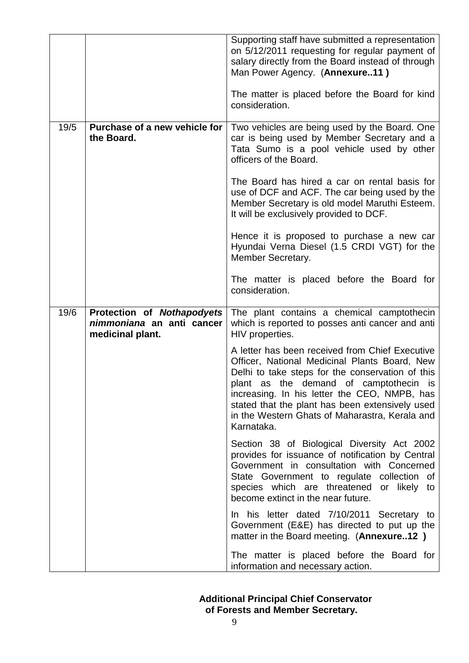|      |                                                                             | Supporting staff have submitted a representation<br>on 5/12/2011 requesting for regular payment of<br>salary directly from the Board instead of through<br>Man Power Agency. (Annexure11)<br>The matter is placed before the Board for kind<br>consideration.                                                                                                     |
|------|-----------------------------------------------------------------------------|-------------------------------------------------------------------------------------------------------------------------------------------------------------------------------------------------------------------------------------------------------------------------------------------------------------------------------------------------------------------|
| 19/5 | Purchase of a new vehicle for<br>the Board.                                 | Two vehicles are being used by the Board. One<br>car is being used by Member Secretary and a<br>Tata Sumo is a pool vehicle used by other<br>officers of the Board.                                                                                                                                                                                               |
|      |                                                                             | The Board has hired a car on rental basis for<br>use of DCF and ACF. The car being used by the<br>Member Secretary is old model Maruthi Esteem.<br>It will be exclusively provided to DCF.                                                                                                                                                                        |
|      |                                                                             | Hence it is proposed to purchase a new car<br>Hyundai Verna Diesel (1.5 CRDI VGT) for the<br>Member Secretary.                                                                                                                                                                                                                                                    |
|      |                                                                             | The matter is placed before the Board for<br>consideration.                                                                                                                                                                                                                                                                                                       |
| 19/6 | Protection of Nothapodyets<br>nimmoniana an anti cancer<br>medicinal plant. | The plant contains a chemical camptothecin<br>which is reported to posses anti cancer and anti                                                                                                                                                                                                                                                                    |
|      |                                                                             | HIV properties.                                                                                                                                                                                                                                                                                                                                                   |
|      |                                                                             | A letter has been received from Chief Executive<br>Officer, National Medicinal Plants Board, New<br>Delhi to take steps for the conservation of this<br>plant as the demand of camptothecin is<br>increasing. In his letter the CEO, NMPB, has<br>stated that the plant has been extensively used<br>in the Western Ghats of Maharastra, Kerala and<br>Karnataka. |
|      |                                                                             | Section 38 of Biological Diversity Act 2002<br>provides for issuance of notification by Central<br>Government in consultation with Concerned<br>State Government to regulate collection of<br>species which are threatened or likely to<br>become extinct in the near future.                                                                                     |
|      |                                                                             | In his letter dated 7/10/2011 Secretary to<br>Government (E&E) has directed to put up the<br>matter in the Board meeting. (Annexure12)                                                                                                                                                                                                                            |

## **Additional Principal Chief Conservator of Forests and Member Secretary.**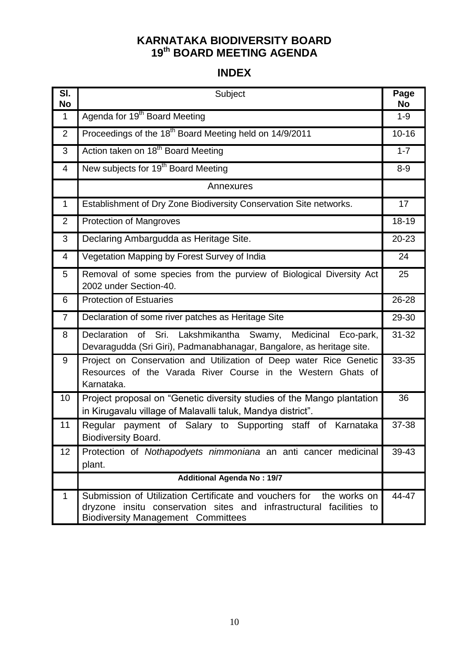## **KARNATAKA BIODIVERSITY BOARD 19 th BOARD MEETING AGENDA**

## **INDEX**

| SI.<br>No      | Subject                                                                                                                                                                                    | Page<br><b>No</b> |
|----------------|--------------------------------------------------------------------------------------------------------------------------------------------------------------------------------------------|-------------------|
| $\mathbf 1$    | Agenda for 19 <sup>th</sup> Board Meeting                                                                                                                                                  | $1 - 9$           |
| $\overline{2}$ | Proceedings of the 18 <sup>th</sup> Board Meeting held on 14/9/2011                                                                                                                        | $10 - 16$         |
| 3              | Action taken on 18 <sup>th</sup> Board Meeting                                                                                                                                             | $1 - 7$           |
| 4              | New subjects for 19 <sup>th</sup> Board Meeting                                                                                                                                            | $8-9$             |
|                | Annexures                                                                                                                                                                                  |                   |
| $\mathbf 1$    | Establishment of Dry Zone Biodiversity Conservation Site networks.                                                                                                                         | 17                |
| $\overline{2}$ | <b>Protection of Mangroves</b>                                                                                                                                                             | 18-19             |
| 3              | Declaring Ambargudda as Heritage Site.                                                                                                                                                     | $20 - 23$         |
| 4              | Vegetation Mapping by Forest Survey of India                                                                                                                                               | 24                |
| 5              | Removal of some species from the purview of Biological Diversity Act<br>2002 under Section-40.                                                                                             | 25                |
| 6              | <b>Protection of Estuaries</b>                                                                                                                                                             | 26-28             |
| $\overline{7}$ | Declaration of some river patches as Heritage Site                                                                                                                                         | 29-30             |
| 8              | Declaration of Sri. Lakshmikantha Swamy,<br>Medicinal<br>Eco-park,<br>Devaragudda (Sri Giri), Padmanabhanagar, Bangalore, as heritage site.                                                | $31 - 32$         |
| 9              | Project on Conservation and Utilization of Deep water Rice Genetic<br>Resources of the Varada River Course in the Western Ghats of<br>Karnataka.                                           | 33-35             |
| 10             | Project proposal on "Genetic diversity studies of the Mango plantation<br>in Kirugavalu village of Malavalli taluk, Mandya district".                                                      | 36                |
| 11             | Regular payment of Salary to Supporting staff of Karnataka<br><b>Biodiversity Board.</b>                                                                                                   | 37-38             |
| 12             | Protection of Nothapodyets nimmoniana an anti cancer medicinal<br>plant.                                                                                                                   | 39-43             |
|                | <b>Additional Agenda No: 19/7</b>                                                                                                                                                          |                   |
| 1              | Submission of Utilization Certificate and vouchers for<br>the works on<br>dryzone insitu conservation sites and infrastructural facilities to<br><b>Biodiversity Management Committees</b> | 44-47             |